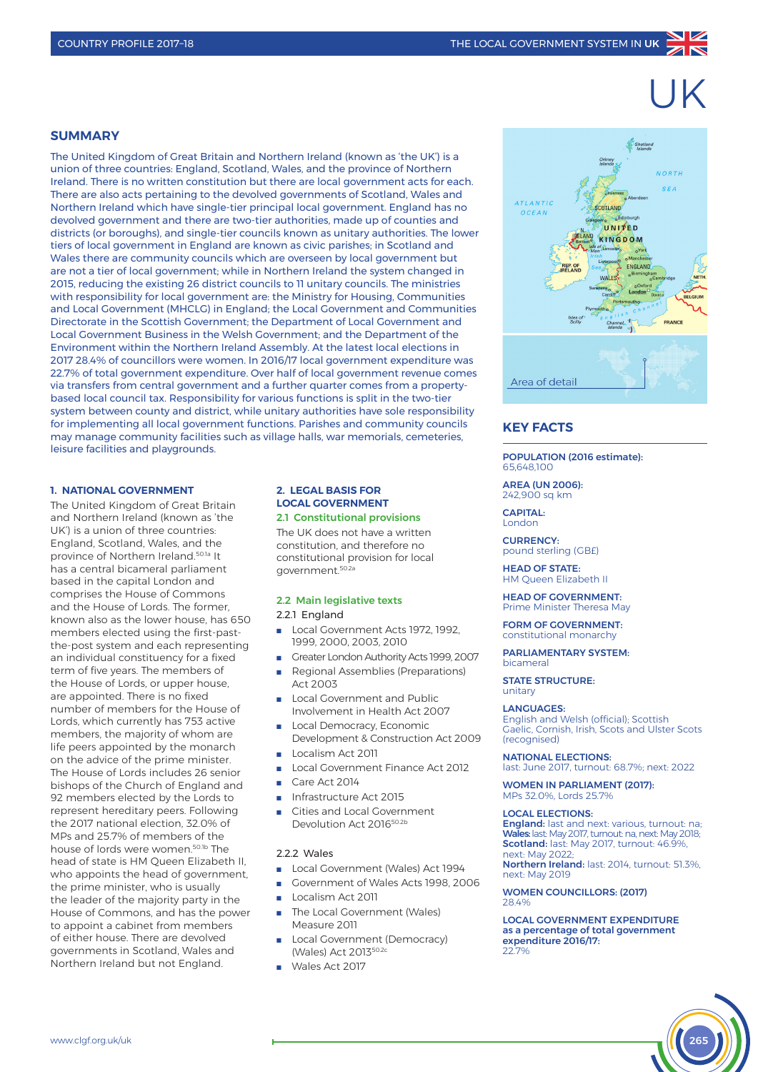# UK

## **SUMMARY**

The United Kingdom of Great Britain and Northern Ireland (known as 'the UK') is a union of three countries: England, Scotland, Wales, and the province of Northern Ireland. There is no written constitution but there are local government acts for each. There are also acts pertaining to the devolved governments of Scotland, Wales and Northern Ireland which have single-tier principal local government. England has no devolved government and there are two-tier authorities, made up of counties and districts (or boroughs), and single-tier councils known as unitary authorities. The lower tiers of local government in England are known as civic parishes; in Scotland and Wales there are community councils which are overseen by local government but are not a tier of local government; while in Northern Ireland the system changed in 2015, reducing the existing 26 district councils to 11 unitary councils. The ministries with responsibility for local government are: the Ministry for Housing, Communities and Local Government (MHCLG) in England; the Local Government and Communities Directorate in the Scottish Government; the Department of Local Government and Local Government Business in the Welsh Government; and the Department of the Environment within the Northern Ireland Assembly. At the latest local elections in 2017 28.4% of councillors were women. In 2016/17 local government expenditure was 22.7% of total government expenditure. Over half of local government revenue comes via transfers from central government and a further quarter comes from a propertybased local council tax. Responsibility for various functions is split in the two-tier system between county and district, while unitary authorities have sole responsibility for implementing all local government functions. Parishes and community councils may manage community facilities such as village halls, war memorials, cemeteries, leisure facilities and playgrounds.

#### **1. NATIONAL GOVERNMENT**

The United Kingdom of Great Britain and Northern Ireland (known as 'the UK') is a union of three countries: England, Scotland, Wales, and the province of Northern Ireland.50.1a It has a central bicameral parliament based in the capital London and comprises the House of Commons and the House of Lords. The former, known also as the lower house, has 650 members elected using the first-pastthe-post system and each representing an individual constituency for a fixed term of five years. The members of the House of Lords, or upper house, are appointed. There is no fixed number of members for the House of Lords, which currently has 753 active members, the majority of whom are life peers appointed by the monarch on the advice of the prime minister. The House of Lords includes 26 senior bishops of the Church of England and 92 members elected by the Lords to represent hereditary peers. Following the 2017 national election, 32.0% of MPs and 25.7% of members of the house of lords were women.<sup>50.1b</sup> The head of state is HM Queen Elizabeth II, who appoints the head of government, the prime minister, who is usually the leader of the majority party in the House of Commons, and has the power to appoint a cabinet from members of either house. There are devolved governments in Scotland, Wales and Northern Ireland but not England.

#### **2. LEGAL BASIS FOR LOCAL GOVERNMENT** 2.1 Constitutional provisions

The UK does not have a written

constitution, and therefore no constitutional provision for local government.50.2a

## 2.2 Main legislative texts

#### 2.2.1 England

- Local Government Acts 1972, 1992. 1999, 2000, 2003, 2010
- Greater London Authority Acts 1999, 2007
- Regional Assemblies (Preparations) Act 2003
- Local Government and Public Involvement in Health Act 2007
- **n** Local Democracy, Economic
- Development & Construction Act 2009 Localism Act 2011
- Local Government Finance Act 2012
- Care Act 2014
- n Infrastructure Act 2015
- Cities and Local Government Devolution Act 201650.2b

#### 2.2.2 Wales

- Local Government (Wales) Act 1994
- Government of Wales Acts 1998, 2006
- Localism Act 2011
- The Local Government (Wales) Measure 2011
- Local Government (Democracy) (Wales) Act 201350.2c
- $N =$  Wales Act 2017



# **KEY FACTS**

POPULATION (2016 estimate): 65,648,100

AREA (UN 2006): 242,900 sq km

CAPITAL: London

CURRENCY: pound sterling (GB£)

HEAD OF STATE: HM Queen Elizabeth II

HEAD OF GOVERNMENT: Prime Minister Theresa May

FORM OF GOVERNMENT. constitutional monarchy

PARLIAMENTARY SYSTEM: bicameral

STATE STRUCTURE: unitary

#### LANGUAGES:

English and Welsh (official); Scottish Gaelic, Cornish, Irish, Scots and Ulster Scots (recognised)

NATIONAL ELECTIONS:

last: June 2017, turnout: 68.7%; next: 2022

WOMEN IN PARLIAMENT (2017): MPs 32.0%, Lords 25.7%

#### LOCAL ELECTIONS:

England: last and next: various, turnout: na; Wales: last: May 2017, turnout: na, next: May 2018; Scotland: last: May 2017, turnout: 46.9%, next: May 2022;

Northern Ireland: last: 2014, turnout: 51.3%, next: May 2019

WOMEN COUNCILLORS: (2017) 28.4%

LOCAL GOVERNMENT EXPENDITURE as a percentage of total government expenditure 2016/17: 22.7%

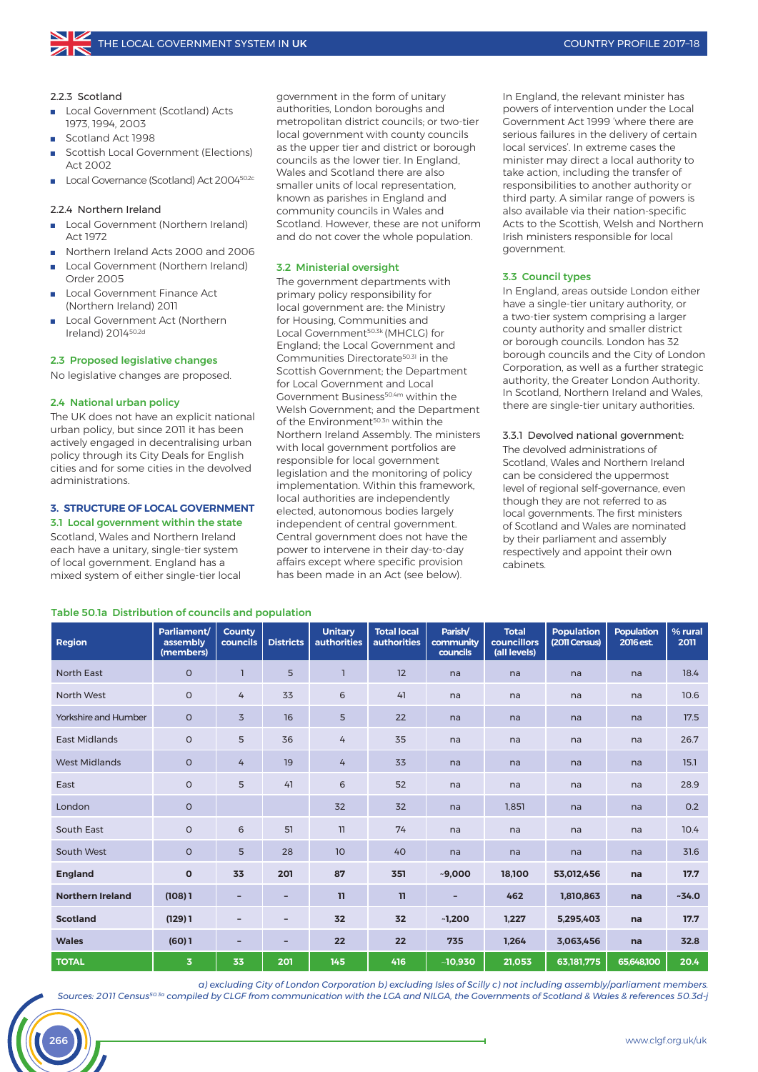#### 2.2.3 Scotland

- Local Government (Scotland) Acts 1973, 1994, 2003
- Scotland Act 1998
- Scottish Local Government (Elections) Act 2002
- <sup>n</sup> Local Governance (Scotland) Act 200450.2c

#### 2.2.4 Northern Ireland

- Local Government (Northern Ireland) Act 1972
- n Northern Ireland Acts 2000 and 2006
- Local Government (Northern Ireland) Order 2005
- Local Government Finance Act (Northern Ireland) 2011
- Local Government Act (Northern Ireland) 201450.2d

#### 2.3 Proposed legislative changes

No legislative changes are proposed.

#### 2.4 National urban policy

The UK does not have an explicit national urban policy, but since 2011 it has been actively engaged in decentralising urban policy through its City Deals for English cities and for some cities in the devolved administrations.

# **3. STRUCTURE OF LOCAL GOVERNMENT**

# 3.1 Local government within the state

Scotland, Wales and Northern Ireland each have a unitary, single-tier system of local government. England has a mixed system of either single-tier local government in the form of unitary authorities, London boroughs and metropolitan district councils; or two-tier local government with county councils as the upper tier and district or borough councils as the lower tier. In England, Wales and Scotland there are also smaller units of local representation, known as parishes in England and community councils in Wales and Scotland. However, these are not uniform and do not cover the whole population.

#### 3.2 Ministerial oversight

The government departments with primary policy responsibility for local government are: the Ministry for Housing, Communities and Local Government<sup>50.3k</sup> (MHCLG) for England; the Local Government and Communities Directorate50.3l in the Scottish Government; the Department for Local Government and Local Government Business<sup>50.4m</sup> within the Welsh Government; and the Department of the Environment<sup>50.3n</sup> within the Northern Ireland Assembly. The ministers with local government portfolios are responsible for local government legislation and the monitoring of policy implementation. Within this framework, local authorities are independently elected, autonomous bodies largely independent of central government. Central government does not have the power to intervene in their day-to-day affairs except where specific provision has been made in an Act (see below).

In England, the relevant minister has powers of intervention under the Local Government Act 1999 'where there are serious failures in the delivery of certain local services'. In extreme cases the minister may direct a local authority to take action, including the transfer of responsibilities to another authority or third party. A similar range of powers is also available via their nation-specific Acts to the Scottish, Welsh and Northern Irish ministers responsible for local government.

#### 3.3 Council types

In England, areas outside London either have a single-tier unitary authority, or a two-tier system comprising a larger county authority and smaller district or borough councils. London has 32 borough councils and the City of London Corporation, as well as a further strategic authority, the Greater London Authority. In Scotland, Northern Ireland and Wales, there are single-tier unitary authorities.

#### 3.3.1 Devolved national government: The devolved administrations of

Scotland, Wales and Northern Ireland can be considered the uppermost level of regional self-governance, even though they are not referred to as local governments. The first ministers of Scotland and Wales are nominated by their parliament and assembly respectively and appoint their own cabinets.

| <b>Region</b>           | Parliament/<br>assembly<br>(members) | <b>County</b><br>councils | <b>Districts</b>         | <b>Unitary</b><br><b>authorities</b> | <b>Total local</b><br><b>authorities</b> | Parish/<br>community<br>councils | <b>Total</b><br>councillors<br>(all levels) | <b>Population</b><br>(2011 Census) | <b>Population</b><br>2016 est. | % rural<br>2011 |
|-------------------------|--------------------------------------|---------------------------|--------------------------|--------------------------------------|------------------------------------------|----------------------------------|---------------------------------------------|------------------------------------|--------------------------------|-----------------|
| <b>North East</b>       | $\circ$                              | $\mathbf{I}$              | 5                        | $\overline{1}$                       | 12                                       | na                               | na                                          | na                                 | na                             | 18.4            |
| North West              | $\circ$                              | $\overline{4}$            | 33                       | 6                                    | 41                                       | na                               | na                                          | na                                 | na                             | 10.6            |
| Yorkshire and Humber    | $\circ$                              | $\overline{3}$            | 16                       | 5                                    | 22                                       | na                               | na                                          | na                                 | na                             | 17.5            |
| <b>East Midlands</b>    | $\circ$                              | 5                         | 36                       | 4                                    | 35                                       | na                               | na                                          | na                                 | na                             | 26.7            |
| <b>West Midlands</b>    | $\circ$                              | $\overline{4}$            | 19                       | 4                                    | 33                                       | na                               | na                                          | na                                 | na                             | 15.1            |
| East                    | $\circ$                              | 5                         | 41                       | 6                                    | 52                                       | na                               | na                                          | na                                 | na                             | 28.9            |
| London                  | $\circ$                              |                           |                          | 32                                   | 32                                       | na                               | 1,851                                       | na                                 | na                             | 0.2             |
| South East              | $\circ$                              | 6                         | 51                       | 11                                   | 74                                       | na                               | na                                          | na                                 | na                             | 10.4            |
| South West              | $\circ$                              | 5                         | 28                       | 10                                   | 40                                       | na                               | na                                          | na                                 | na                             | 31.6            |
| <b>England</b>          | $\mathbf{o}$                         | 33                        | 201                      | 87                                   | 351                                      | $-9,000$                         | 18,100                                      | 53,012,456                         | na                             | 17.7            |
| <b>Northern Ireland</b> | (108)1                               | -                         | $\qquad \qquad -$        | 11                                   | 11                                       |                                  | 462                                         | 1,810,863                          | na                             | $-34.0$         |
| <b>Scotland</b>         | (129)1                               | $\overline{\phantom{a}}$  | $\overline{\phantom{a}}$ | 32                                   | 32                                       | $-1,200$                         | 1,227                                       | 5,295,403                          | na                             | 17.7            |
| <b>Wales</b>            | (60)1                                | -                         | $\overline{\phantom{0}}$ | 22                                   | 22                                       | 735                              | 1,264                                       | 3,063,456                          | na                             | 32.8            |
| <b>TOTAL</b>            | 3                                    | 33                        | 201                      | 145                                  | 416                                      | $-10,930$                        | 21,053                                      | 63,181,775                         | 65,648,100                     | 20.4            |

#### Table 50.1a Distribution of councils and population

*a) excluding City of London Corporation b) excluding Isles of Scilly c) not including assembly/parliament members. Sources: 2011 Census50.3a compiled by CLGF from communication with the LGA and NILGA, the Governments of Scotland & Wales & references 50.3d-j*

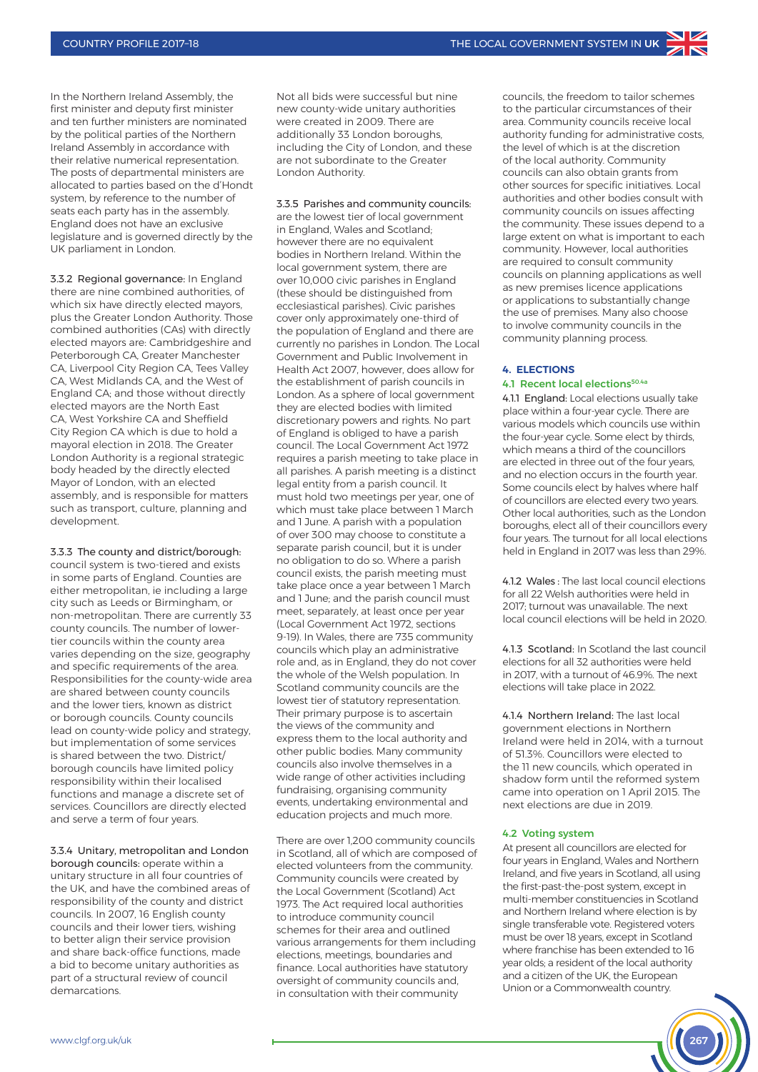In the Northern Ireland Assembly, the first minister and deputy first minister and ten further ministers are nominated by the political parties of the Northern Ireland Assembly in accordance with their relative numerical representation. The posts of departmental ministers are allocated to parties based on the d'Hondt system, by reference to the number of seats each party has in the assembly. England does not have an exclusive legislature and is governed directly by the UK parliament in London.

3.3.2 Regional governance: In England there are nine combined authorities, of which six have directly elected mayors plus the Greater London Authority. Those combined authorities (CAs) with directly elected mayors are: Cambridgeshire and Peterborough CA, Greater Manchester CA, Liverpool City Region CA, Tees Valley CA, West Midlands CA, and the West of England CA; and those without directly elected mayors are the North East CA, West Yorkshire CA and Sheffield City Region CA which is due to hold a mayoral election in 2018. The Greater London Authority is a regional strategic body headed by the directly elected Mayor of London, with an elected assembly, and is responsible for matters such as transport, culture, planning and development.

3.3.3 The county and district/borough: council system is two-tiered and exists in some parts of England. Counties are either metropolitan, ie including a large city such as Leeds or Birmingham, or non-metropolitan. There are currently 33 county councils. The number of lowertier councils within the county area varies depending on the size, geography and specific requirements of the area. Responsibilities for the county-wide area are shared between county councils and the lower tiers, known as district or borough councils. County councils lead on county-wide policy and strategy, but implementation of some services is shared between the two. District/ borough councils have limited policy responsibility within their localised functions and manage a discrete set of services. Councillors are directly elected and serve a term of four years.

3.3.4 Unitary, metropolitan and London borough councils: operate within a unitary structure in all four countries of the UK, and have the combined areas of responsibility of the county and district councils. In 2007, 16 English county councils and their lower tiers, wishing to better align their service provision and share back-office functions, made a bid to become unitary authorities as part of a structural review of council demarcations.

Not all bids were successful but nine new county-wide unitary authorities were created in 2009. There are additionally 33 London boroughs, including the City of London, and these are not subordinate to the Greater London Authority.

3.3.5 Parishes and community councils: are the lowest tier of local government in England, Wales and Scotland; however there are no equivalent bodies in Northern Ireland. Within the local government system, there are over 10,000 civic parishes in England (these should be distinguished from ecclesiastical parishes). Civic parishes cover only approximately one-third of the population of England and there are currently no parishes in London. The Local Government and Public Involvement in Health Act 2007, however, does allow for the establishment of parish councils in London. As a sphere of local government they are elected bodies with limited discretionary powers and rights. No part of England is obliged to have a parish council. The Local Government Act 1972 requires a parish meeting to take place in all parishes. A parish meeting is a distinct legal entity from a parish council. It must hold two meetings per year, one of which must take place between 1 March and 1 June. A parish with a population of over 300 may choose to constitute a separate parish council, but it is under no obligation to do so. Where a parish council exists, the parish meeting must take place once a year between 1 March and 1 June; and the parish council must meet, separately, at least once per year (Local Government Act 1972, sections 9-19). In Wales, there are 735 community councils which play an administrative role and, as in England, they do not cover the whole of the Welsh population. In Scotland community councils are the lowest tier of statutory representation. Their primary purpose is to ascertain the views of the community and express them to the local authority and other public bodies. Many community councils also involve themselves in a wide range of other activities including fundraising, organising community events, undertaking environmental and education projects and much more.

There are over 1,200 community councils in Scotland, all of which are composed of elected volunteers from the community. Community councils were created by the Local Government (Scotland) Act 1973. The Act required local authorities to introduce community council schemes for their area and outlined various arrangements for them including elections, meetings, boundaries and finance. Local authorities have statutory oversight of community councils and, in consultation with their community

councils, the freedom to tailor schemes to the particular circumstances of their area. Community councils receive local authority funding for administrative costs, the level of which is at the discretion of the local authority. Community councils can also obtain grants from other sources for specific initiatives. Local authorities and other bodies consult with community councils on issues affecting the community. These issues depend to a large extent on what is important to each community. However, local authorities are required to consult community councils on planning applications as well as new premises licence applications or applications to substantially change the use of premises. Many also choose to involve community councils in the community planning process.

#### **4. ELECTIONS**

#### 4.1 Recent local elections50.4a

4.1.1 England: Local elections usually take place within a four-year cycle. There are various models which councils use within the four-year cycle. Some elect by thirds, which means a third of the councillors are elected in three out of the four years and no election occurs in the fourth year. Some councils elect by halves where half of councillors are elected every two years. Other local authorities, such as the London boroughs, elect all of their councillors every four years. The turnout for all local elections held in England in 2017 was less than 29%.

4.1.2 Wales : The last local council elections for all 22 Welsh authorities were held in 2017; turnout was unavailable. The next local council elections will be held in 2020.

4.1.3 Scotland: In Scotland the last council elections for all 32 authorities were held in 2017, with a turnout of 46.9%. The next elections will take place in 2022.

4.1.4 Northern Ireland: The last local government elections in Northern Ireland were held in 2014, with a turnout of 51.3%. Councillors were elected to the 11 new councils, which operated in shadow form until the reformed system came into operation on 1 April 2015. The next elections are due in 2019.

#### 4.2 Voting system

At present all councillors are elected for four years in England, Wales and Northern Ireland, and five years in Scotland, all using the first-past-the-post system, except in multi-member constituencies in Scotland and Northern Ireland where election is by single transferable vote. Registered voters must be over 18 years, except in Scotland where franchise has been extended to 16 year olds; a resident of the local authority and a citizen of the UK, the European Union or a Commonwealth country.

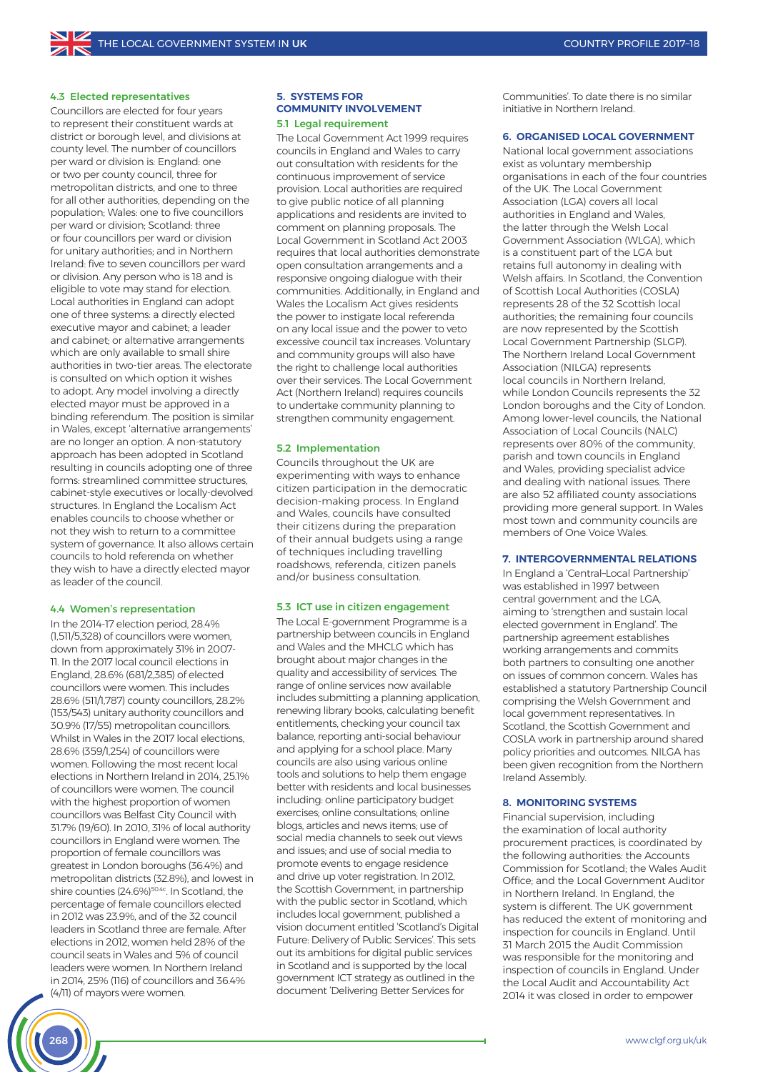#### 4.3 Elected representatives

Councillors are elected for four years to represent their constituent wards at district or borough level, and divisions at county level. The number of councillors per ward or division is: England: one or two per county council, three for metropolitan districts, and one to three for all other authorities, depending on the population; Wales: one to five councillors per ward or division; Scotland: three or four councillors per ward or division for unitary authorities; and in Northern Ireland: five to seven councillors per ward or division. Any person who is 18 and is eligible to vote may stand for election. Local authorities in England can adopt one of three systems: a directly elected executive mayor and cabinet; a leader and cabinet; or alternative arrangements which are only available to small shire authorities in two-tier areas. The electorate is consulted on which option it wishes to adopt. Any model involving a directly elected mayor must be approved in a binding referendum. The position is similar in Wales, except 'alternative arrangements' are no longer an option. A non-statutory approach has been adopted in Scotland resulting in councils adopting one of three forms: streamlined committee structures, cabinet-style executives or locally-devolved structures. In England the Localism Act enables councils to choose whether or not they wish to return to a committee system of governance. It also allows certain councils to hold referenda on whether they wish to have a directly elected mayor as leader of the council.

#### 4.4 Women's representation

In the 2014-17 election period, 28.4% (1,511/5,328) of councillors were women, down from approximately 31% in 2007- 11. In the 2017 local council elections in England, 28.6% (681/2,385) of elected councillors were women. This includes 28.6% (511/1,787) county councillors, 28.2% (153/543) unitary authority councillors and 30.9% (17/55) metropolitan councillors. Whilst in Wales in the 2017 local elections, 28.6% (359/1,254) of councillors were women. Following the most recent local elections in Northern Ireland in 2014, 25.1% of councillors were women. The council with the highest proportion of women councillors was Belfast City Council with 31.7% (19/60). In 2010, 31% of local authority councillors in England were women. The proportion of female councillors was greatest in London boroughs (36.4%) and metropolitan districts (32.8%), and lowest in shire counties (24.6%)<sup>50.4c</sup>. In Scotland, the percentage of female councillors elected in 2012 was 23.9%, and of the 32 council leaders in Scotland three are female. After elections in 2012, women held 28% of the council seats in Wales and 5% of council leaders were women. In Northern Ireland in 2014, 25% (116) of councillors and 36.4% (4/11) of mayors were women.

#### **5. SYSTEMS FOR COMMUNITY INVOLVEMENT** 5.1 Legal requirement

The Local Government Act 1999 requires councils in England and Wales to carry out consultation with residents for the continuous improvement of service provision. Local authorities are required to give public notice of all planning applications and residents are invited to comment on planning proposals. The Local Government in Scotland Act 2003 requires that local authorities demonstrate open consultation arrangements and a responsive ongoing dialogue with their communities. Additionally, in England and Wales the Localism Act gives residents the power to instigate local referenda on any local issue and the power to veto excessive council tax increases. Voluntary and community groups will also have the right to challenge local authorities over their services. The Local Government Act (Northern Ireland) requires councils to undertake community planning to strengthen community engagement.

#### 5.2 Implementation

Councils throughout the UK are experimenting with ways to enhance citizen participation in the democratic decision-making process. In England and Wales, councils have consulted their citizens during the preparation of their annual budgets using a range of techniques including travelling roadshows, referenda, citizen panels and/or business consultation.

#### 5.3 ICT use in citizen engagement

The Local E-government Programme is a partnership between councils in England and Wales and the MHCLG which has brought about major changes in the quality and accessibility of services. The range of online services now available includes submitting a planning application, renewing library books, calculating benefit entitlements, checking your council tax balance, reporting anti-social behaviour and applying for a school place. Many councils are also using various online tools and solutions to help them engage better with residents and local businesses including: online participatory budget exercises; online consultations; online blogs, articles and news items; use of social media channels to seek out views and issues; and use of social media to promote events to engage residence and drive up voter registration. In 2012, the Scottish Government, in partnership with the public sector in Scotland, which includes local government, published a vision document entitled 'Scotland's Digital Future: Delivery of Public Services'. This sets out its ambitions for digital public services in Scotland and is supported by the local government ICT strategy as outlined in the document 'Delivering Better Services for

Communities'. To date there is no similar initiative in Northern Ireland.

#### **6. ORGANISED LOCAL GOVERNMENT**

National local government associations exist as voluntary membership organisations in each of the four countries of the UK. The Local Government Association (LGA) covers all local authorities in England and Wales, the latter through the Welsh Local Government Association (WLGA), which is a constituent part of the LGA but retains full autonomy in dealing with Welsh affairs. In Scotland, the Convention of Scottish Local Authorities (COSLA) represents 28 of the 32 Scottish local authorities; the remaining four councils are now represented by the Scottish Local Government Partnership (SLGP). The Northern Ireland Local Government Association (NILGA) represents local councils in Northern Ireland, while London Councils represents the 32 London boroughs and the City of London. Among lower-level councils, the National Association of Local Councils (NALC) represents over 80% of the community, parish and town councils in England and Wales, providing specialist advice and dealing with national issues. There are also 52 affiliated county associations providing more general support. In Wales most town and community councils are members of One Voice Wales.

#### **7. INTERGOVERNMENTAL RELATIONS**

In England a 'Central–Local Partnership' was established in 1997 between central government and the LGA, aiming to 'strengthen and sustain local elected government in England'. The partnership agreement establishes working arrangements and commits both partners to consulting one another on issues of common concern. Wales has established a statutory Partnership Council comprising the Welsh Government and local government representatives. In Scotland, the Scottish Government and COSLA work in partnership around shared policy priorities and outcomes. NILGA has been given recognition from the Northern Ireland Assembly.

#### **8. MONITORING SYSTEMS**

Financial supervision, including the examination of local authority procurement practices, is coordinated by the following authorities: the Accounts Commission for Scotland; the Wales Audit Office; and the Local Government Auditor in Northern Ireland. In England, the system is different. The UK government has reduced the extent of monitoring and inspection for councils in England. Until 31 March 2015 the Audit Commission was responsible for the monitoring and inspection of councils in England. Under the Local Audit and Accountability Act 2014 it was closed in order to empower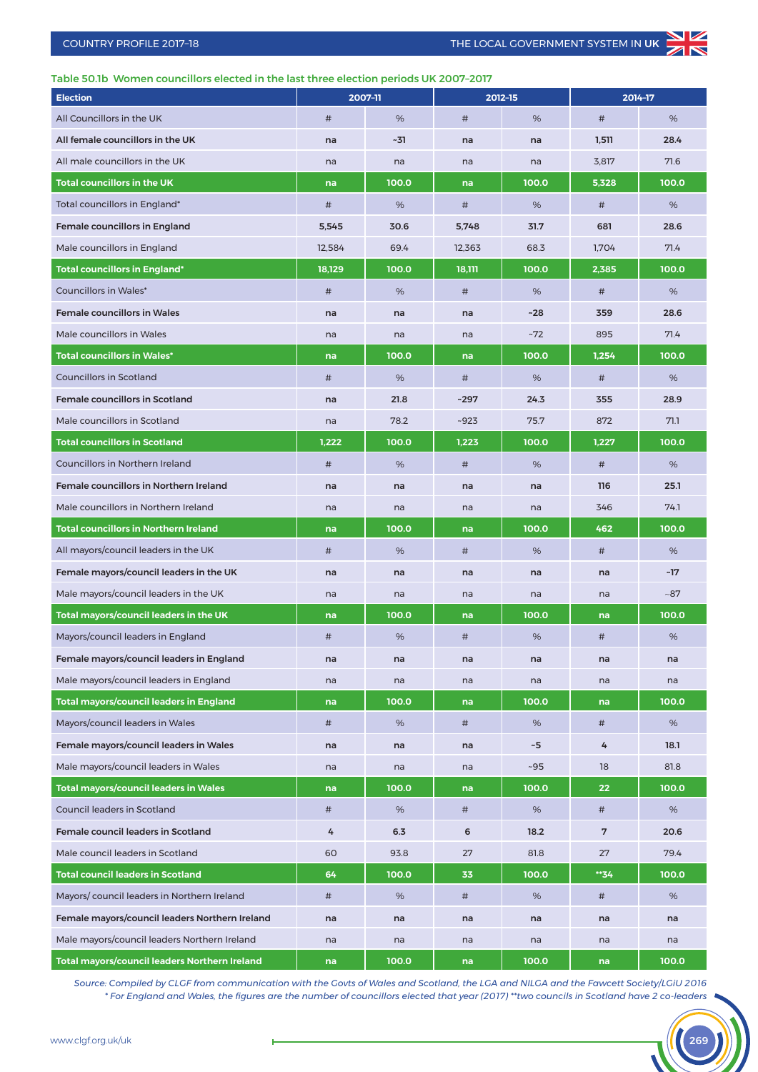# Table 50.1b Women councillors elected in the last three election periods UK 2007–2017

| <b>Election</b>                                |        | 2007-11 | 2012-15 |          | 2014-17 |       |  |
|------------------------------------------------|--------|---------|---------|----------|---------|-------|--|
| All Councillors in the UK                      | #      | %       | $\#$    | %        | $\#$    | %     |  |
| All female councillors in the UK               | na     | ~31     | na      | na       | 1,511   | 28.4  |  |
| All male councillors in the UK                 | na     | na      | na      | na       | 3,817   | 71.6  |  |
| <b>Total councillors in the UK</b>             | na     | 100.0   | na      | 100.0    | 5,328   | 100.0 |  |
| Total councillors in England*                  | $\#$   | %       | #       | %        | $\#$    | %     |  |
| <b>Female councillors in England</b>           | 5,545  | 30.6    | 5,748   | 31.7     | 681     | 28.6  |  |
| Male councillors in England                    | 12,584 | 69.4    | 12,363  | 68.3     | 1,704   | 71.4  |  |
| <b>Total councillors in England*</b>           | 18,129 | 100.0   | 18,111  | 100.0    | 2,385   | 100.0 |  |
| <b>Councillors in Wales*</b>                   | $\#$   | %       | #       | %        | $\#$    | %     |  |
| <b>Female councillors in Wales</b>             | na     | na      | na      | $-28$    | 359     | 28.6  |  |
| Male councillors in Wales                      | na     | na      | na      | $-72$    | 895     | 71.4  |  |
| <b>Total councillors in Wales*</b>             | na     | 100.0   | na      | 100.0    | 1,254   | 100.0 |  |
| <b>Councillors in Scotland</b>                 | #      | %       | #       | %        | $\#$    | %     |  |
| <b>Female councillors in Scotland</b>          | na     | 21.8    | $-297$  | 24.3     | 355     | 28.9  |  |
| Male councillors in Scotland                   | na     | 78.2    | $-923$  | 75.7     | 872     | 71.1  |  |
| <b>Total councillors in Scotland</b>           | 1,222  | 100.0   | 1,223   | 100.0    | 1,227   | 100.0 |  |
| Councillors in Northern Ireland                | #      | %       | #       | %        | $\#$    | %     |  |
| Female councillors in Northern Ireland         | na     | na      | na      | na       | 116     | 25.1  |  |
| Male councillors in Northern Ireland           | na     | na      | na      | na       | 346     | 74.1  |  |
| <b>Total councillors in Northern Ireland</b>   | na     | 100.0   | na      | 100.0    | 462     | 100.0 |  |
| All mayors/council leaders in the UK           | #      | %       | #       | %        | $\#$    | %     |  |
| Female mayors/council leaders in the UK        | na     | na      | na      | na       | na      | ~17   |  |
| Male mayors/council leaders in the UK          | na     | na      | na      | na       | na      | $-87$ |  |
| Total mayors/council leaders in the UK         | na     | 100.0   | na      | 100.0    | na      | 100.0 |  |
| Mayors/council leaders in England              | #      | %       | #       | %        | #       | %     |  |
| Female mayors/council leaders in England       | na     | na      | na      | na       | na      | na    |  |
| Male mayors/council leaders in England         | na     | na      | na      | na       | na      | na    |  |
| <b>Total mayors/council leaders in England</b> | na     | 100.0   | na      | 100.0    | na      | 100.0 |  |
| Mayors/council leaders in Wales                | #      | %       | $\#$    | %        | $\#$    | %     |  |
| Female mayors/council leaders in Wales         | na     | na      | na      | $\sim$ 5 | 4       | 18.1  |  |
| Male mayors/council leaders in Wales           | na     | na      | na      | ~105     | 18      | 81.8  |  |
| <b>Total mayors/council leaders in Wales</b>   | na     | 100.0   | na      | 100.0    | 22      | 100.0 |  |
| Council leaders in Scotland                    | #      | %       | #       | %        | $\#$    | %     |  |
| Female council leaders in Scotland             | 4      | 6.3     | 6       | 18.2     | 7       | 20.6  |  |
| Male council leaders in Scotland               | 60     | 93.8    | 27      | 81.8     | 27      | 79.4  |  |
| <b>Total council leaders in Scotland</b>       | 64     | 100.0   | 33      | 100.0    | **34    | 100.0 |  |
| Mayors/council leaders in Northern Ireland     | #      | %       | #       | %        | $\#$    | %     |  |
| Female mayors/council leaders Northern Ireland | na     | na      | na      | na       | na      | na    |  |
| Male mayors/council leaders Northern Ireland   | na     | na      | na      | na       | na      | na    |  |
| Total mayors/council leaders Northern Ireland  | na     | 100.0   | na      | 100.0    | na      | 100.0 |  |

*Source: Compiled by CLGF from communication with the Govts of Wales and Scotland, the LGA and NILGA and the Fawcett Society/LGiU 2016 \* For England and Wales, the figures are the number of councillors elected that year (2017) \*\*two councils in Scotland have 2 co-leaders*

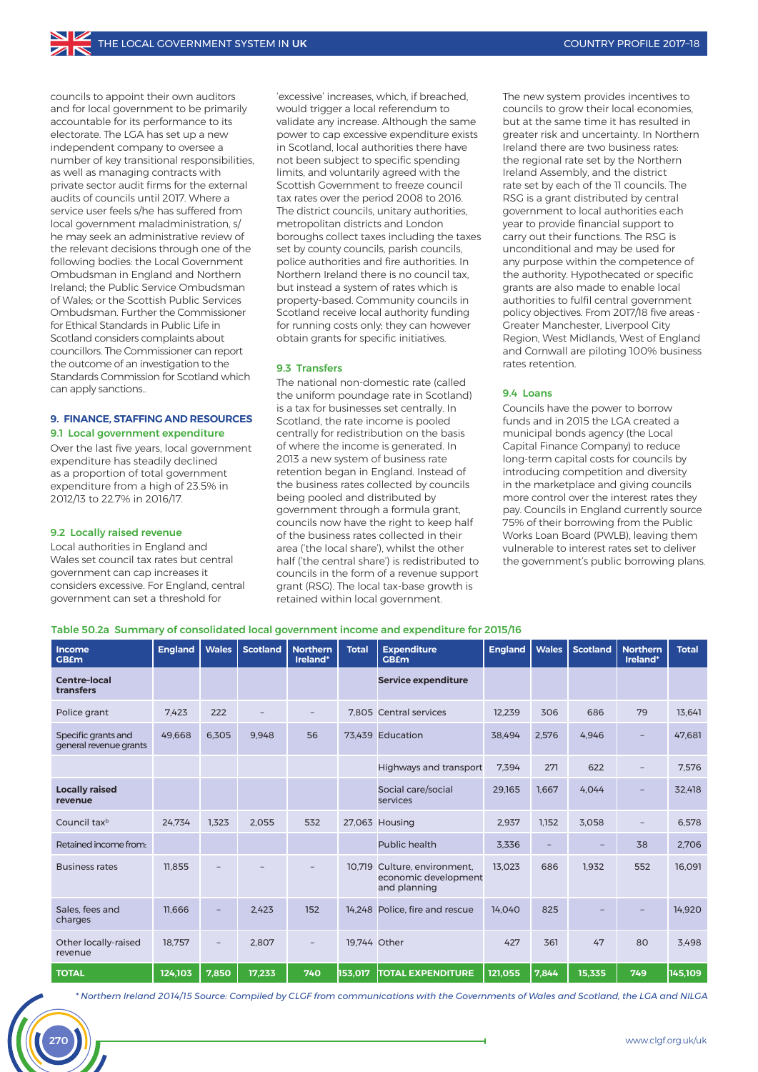councils to appoint their own auditors and for local government to be primarily accountable for its performance to its electorate. The LGA has set up a new independent company to oversee a number of key transitional responsibilities, as well as managing contracts with private sector audit firms for the external audits of councils until 2017. Where a service user feels s/he has suffered from local government maladministration, s/ he may seek an administrative review of the relevant decisions through one of the following bodies: the Local Government Ombudsman in England and Northern Ireland; the Public Service Ombudsman of Wales; or the Scottish Public Services Ombudsman. Further the Commissioner for Ethical Standards in Public Life in Scotland considers complaints about councillors. The Commissioner can report the outcome of an investigation to the Standards Commission for Scotland which can apply sanctions..

# **9. FINANCE, STAFFING AND RESOURCES**

9.1 Local government expenditure Over the last five years, local government expenditure has steadily declined as a proportion of total government expenditure from a high of 23.5% in 2012/13 to 22.7% in 2016/17.

#### 9.2 Locally raised revenue

Local authorities in England and Wales set council tax rates but central government can cap increases it considers excessive. For England, central government can set a threshold for

'excessive' increases, which, if breached, would trigger a local referendum to validate any increase. Although the same power to cap excessive expenditure exists in Scotland, local authorities there have not been subject to specific spending limits, and voluntarily agreed with the Scottish Government to freeze council tax rates over the period 2008 to 2016. The district councils, unitary authorities, metropolitan districts and London boroughs collect taxes including the taxes set by county councils, parish councils, police authorities and fire authorities. In Northern Ireland there is no council tax, but instead a system of rates which is property-based. Community councils in Scotland receive local authority funding for running costs only; they can however obtain grants for specific initiatives.

#### 9.3 Transfers

The national non-domestic rate (called the uniform poundage rate in Scotland) is a tax for businesses set centrally. In Scotland, the rate income is pooled centrally for redistribution on the basis of where the income is generated. In 2013 a new system of business rate retention began in England. Instead of the business rates collected by councils being pooled and distributed by government through a formula grant, councils now have the right to keep half of the business rates collected in their area ('the local share'), whilst the other half ('the central share') is redistributed to councils in the form of a revenue support grant (RSG). The local tax-base growth is retained within local government.

The new system provides incentives to councils to grow their local economies, but at the same time it has resulted in greater risk and uncertainty. In Northern Ireland there are two business rates: the regional rate set by the Northern Ireland Assembly, and the district rate set by each of the 11 councils. The RSG is a grant distributed by central government to local authorities each year to provide financial support to carry out their functions. The RSG is unconditional and may be used for any purpose within the competence of the authority. Hypothecated or specific grants are also made to enable local authorities to fulfil central government policy objectives. From 2017/18 five areas - Greater Manchester, Liverpool City Region, West Midlands, West of England and Cornwall are piloting 100% business rates retention.

#### 9.4 Loans

Councils have the power to borrow funds and in 2015 the LGA created a municipal bonds agency (the Local Capital Finance Company) to reduce long-term capital costs for councils by introducing competition and diversity in the marketplace and giving councils more control over the interest rates they pay. Councils in England currently source 75% of their borrowing from the Public Works Loan Board (PWLB), leaving them vulnerable to interest rates set to deliver the government's public borrowing plans.

|  |  |  | Table 50.2a Summary of consolidated local government income and expenditure for 2015/16 |  |  |  |  |  |  |  |
|--|--|--|-----------------------------------------------------------------------------------------|--|--|--|--|--|--|--|
|--|--|--|-----------------------------------------------------------------------------------------|--|--|--|--|--|--|--|

| Income<br><b>GBEm</b>                         | <b>England</b> | <b>Wales</b> | <b>Scotland</b> | <b>Northern</b><br>Ireland* | <b>Total</b> | <b>Expenditure</b><br><b>GB£m</b>                             | <b>England</b> | <b>Wales</b> | <b>Scotland</b> | <b>Northern</b><br>Ireland* | <b>Total</b> |
|-----------------------------------------------|----------------|--------------|-----------------|-----------------------------|--------------|---------------------------------------------------------------|----------------|--------------|-----------------|-----------------------------|--------------|
| <b>Centre-local</b><br>transfers              |                |              |                 |                             |              | <b>Service expenditure</b>                                    |                |              |                 |                             |              |
| Police grant                                  | 7,423          | 222          |                 |                             |              | 7.805 Central services                                        | 12.239         | 306          | 686             | 79                          | 13.641       |
| Specific grants and<br>general revenue grants | 49.668         | 6.305        | 9.948           | 56                          |              | 73.439 Education<br>38.494                                    |                | 2.576        | 4.946           | $-$                         | 47.681       |
|                                               |                |              |                 |                             |              | Highways and transport                                        | 7,394          | 271          | 622             | $\qquad \qquad -$           | 7,576        |
| <b>Locally raised</b><br>revenue              |                |              |                 |                             |              | Social care/social<br>services                                | 29.165         | 1.667        | 4.044           | -                           | 32.418       |
| Council tax <sup>b</sup>                      | 24.734         | 1.323        | 2.055           | 532                         |              | 27,063 Housing                                                | 2,937          | 1.152        | 3,058           | $\qquad \qquad -$           | 6.578        |
| Retained income from:                         |                |              |                 |                             |              | Public health                                                 | 3.336          |              |                 | 38                          | 2.706        |
| <b>Business rates</b>                         | 11.855         |              |                 |                             | 10.719       | Culture, environment,<br>economic development<br>and planning | 13.023         | 686          | 1.932           | 552                         | 16.091       |
| Sales, fees and<br>charges                    | 11.666         |              | 2.423           | 152                         | 14,248       | Police, fire and rescue                                       | 14.040         | 825          |                 |                             | 14,920       |
| Other locally-raised<br>revenue               | 18.757         |              | 2.807           | $\overline{\phantom{m}}$    | 19.744 Other |                                                               | 427            | 361          | 47              | 80                          | 3.498        |
| <b>TOTAL</b>                                  | 124,103        | 7.850        | 17,233          | 740                         | 153.017      | <b>ITOTAL EXPENDITURE</b>                                     | 121.055        | 7.844        | 15.335          | 749                         | 145.109      |

*\* Northern Ireland 2014/15 Source: Compiled by CLGF from communications with the Governments of Wales and Scotland, the LGA and NILGA*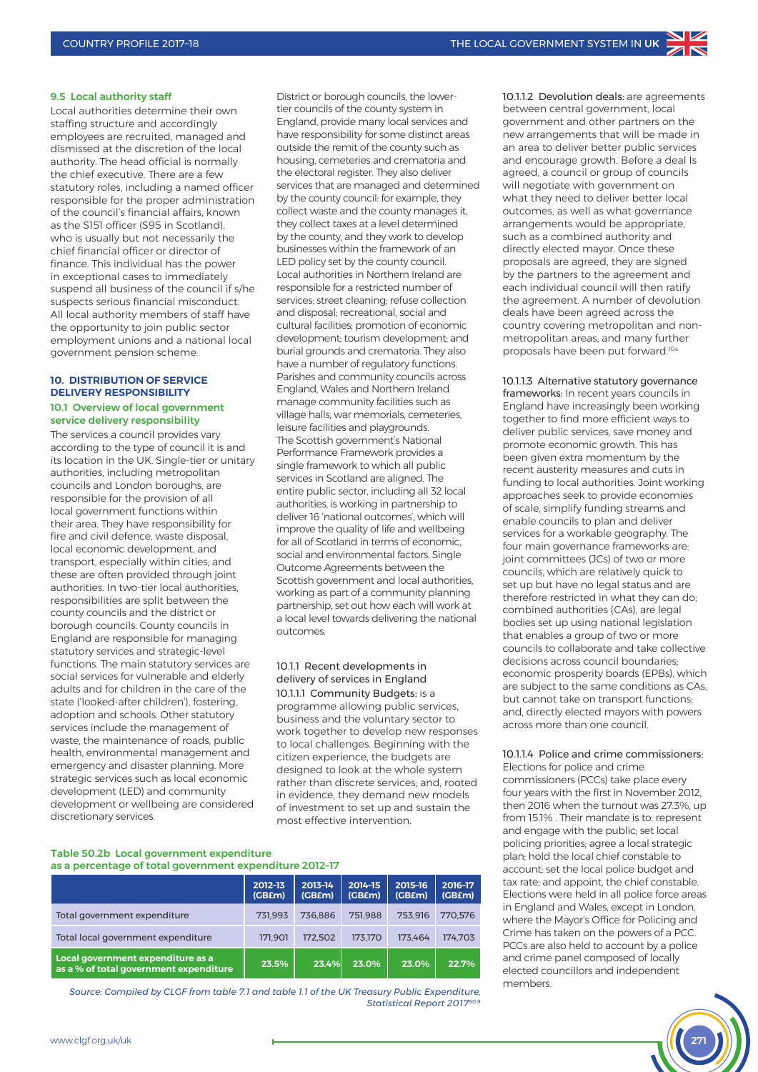#### 9.5 Local authority staff

Local authorities determine their own staffing structure and accordingly employees are recruited, managed and dismissed at the discretion of the local authority. The head official is normally the chief executive. There are a few statutory roles, including a named officer responsible for the proper administration of the council's financial affairs, known as the S151 officer (S95 in Scotland), who is usually but not necessarily the chief financial officer or director of finance. This individual has the power in exceptional cases to immediately suspend all business of the council if s/he suspects serious financial misconduct. All local authority members of staff have the opportunity to join public sector employment unions and a national local government pension scheme.

#### **10. DISTRIBUTION OF SERVICE DELIVERY RESPONSIBILITY** 10.1 Overview of local government

# service delivery responsibility

The services a council provides vary according to the type of council it is and its location in the UK. Single-tier or unitary authorities, including metropolitan councils and London boroughs, are responsible for the provision of all local government functions within their area. They have responsibility for fire and civil defence, waste disposal, local economic development, and transport, especially within cities; and these are often provided through joint authorities. In two-tier local authorities, responsibilities are split between the county councils and the district or borough councils. County councils in England are responsible for managing statutory services and strategic-level functions. The main statutory services are social services for vulnerable and elderly adults and for children in the care of the state ('looked-after children'), fostering, adoption and schools. Other statutory services include the management of waste, the maintenance of roads, public health, environmental management and emergency and disaster planning. More strategic services such as local economic development (LED) and community development or wellbeing are considered discretionary services.

District or borough councils, the lowertier councils of the county system in England, provide many local services and have responsibility for some distinct areas outside the remit of the county such as housing, cemeteries and crematoria and the electoral register. They also deliver services that are managed and determined by the county council: for example, they collect waste and the county manages it, they collect taxes at a level determined by the county, and they work to develop businesses within the framework of an LED policy set by the county council. Local authorities in Northern Ireland are responsible for a restricted number of services: street cleaning; refuse collection and disposal; recreational, social and cultural facilities; promotion of economic development; tourism development; and burial grounds and crematoria. They also have a number of regulatory functions. Parishes and community councils across England, Wales and Northern Ireland manage community facilities such as village halls, war memorials, cemeteries, leisure facilities and playgrounds. The Scottish government's National Performance Framework provides a single framework to which all public services in Scotland are aligned. The entire public sector, including all 32 local authorities, is working in partnership to deliver 16 'national outcomes', which will improve the quality of life and wellbeing for all of Scotland in terms of economic, social and environmental factors. Single Outcome Agreements between the Scottish government and local authorities, working as part of a community planning partnership, set out how each will work at a local level towards delivering the national outcomes.

#### 10.1.1 Recent developments in delivery of services in England 10.1.1.1 Community Budgets: is a programme allowing public services, business and the voluntary sector to work together to develop new responses to local challenges. Beginning with the citizen experience, the budgets are designed to look at the whole system rather than discrete services; and, rooted in evidence, they demand new models of investment to set up and sustain the most effective intervention.

#### **T**able 50.2b Local government expenditure as a percentage of total government expenditure 2012–17

|                                                                             | 2012-13<br>(GB£m) | 2013-14<br>(GB£m) | 2014-15<br>(GB£m) | 2015-16<br>(GB£m) | 2016-17<br>(GB£m) |
|-----------------------------------------------------------------------------|-------------------|-------------------|-------------------|-------------------|-------------------|
| Total government expenditure                                                | 731.993           | 736.886           | 751.988           | 753.916           | 770.576           |
| Total local government expenditure                                          | 171.901           | 172.502           | 173.170           | 173.464           | 174.703           |
| Local government expenditure as a<br>as a % of total government expenditure | 23.5%             | 23.4%             | 23.0%             | 23.0%             | 22.7%             |

*Source: Compiled by CLGF from table 7.1 and table 1.1 of the UK Treasury Public Expenditure, Statistical Report 201750.9*

10.1.1.2 Devolution deals: are agreements between central government, local government and other partners on the new arrangements that will be made in an area to deliver better public services and encourage growth. Before a deal Is agreed, a council or group of councils will negotiate with government on what they need to deliver better local outcomes, as well as what governance arrangements would be appropriate, such as a combined authority and directly elected mayor. Once these proposals are agreed, they are signed by the partners to the agreement and each individual council will then ratify the agreement. A number of devolution deals have been agreed across the country covering metropolitan and nonmetropolitan areas, and many further proposals have been put forward.<sup>10a</sup>

10.1.1.3 Alternative statutory governance frameworks: In recent years councils in England have increasingly been working together to find more efficient ways to deliver public services, save money and promote economic growth. This has been given extra momentum by the recent austerity measures and cuts in funding to local authorities. Joint working approaches seek to provide economies of scale, simplify funding streams and enable councils to plan and deliver services for a workable geography. The four main governance frameworks are: joint committees (JCs) of two or more councils, which are relatively quick to set up but have no legal status and are therefore restricted in what they can do; combined authorities (CAs), are legal bodies set up using national legislation that enables a group of two or more councils to collaborate and take collective decisions across council boundaries; economic prosperity boards (EPBs), which are subject to the same conditions as CAs, but cannot take on transport functions; and, directly elected mayors with powers across more than one council.

# 10.1.1.4 Police and crime commissioners:

Elections for police and crime commissioners (PCCs) take place every four years with the first in November 2012, then 2016 when the turnout was 27.3%, up from 15.1% . Their mandate is to: represent and engage with the public; set local policing priorities; agree a local strategic plan; hold the local chief constable to account; set the local police budget and tax rate; and appoint, the chief constable. Elections were held in all police force areas in England and Wales, except in London, where the Mayor's Office for Policing and Crime has taken on the powers of a PCC. PCCs are also held to account by a police and crime panel composed of locally elected councillors and independent members.

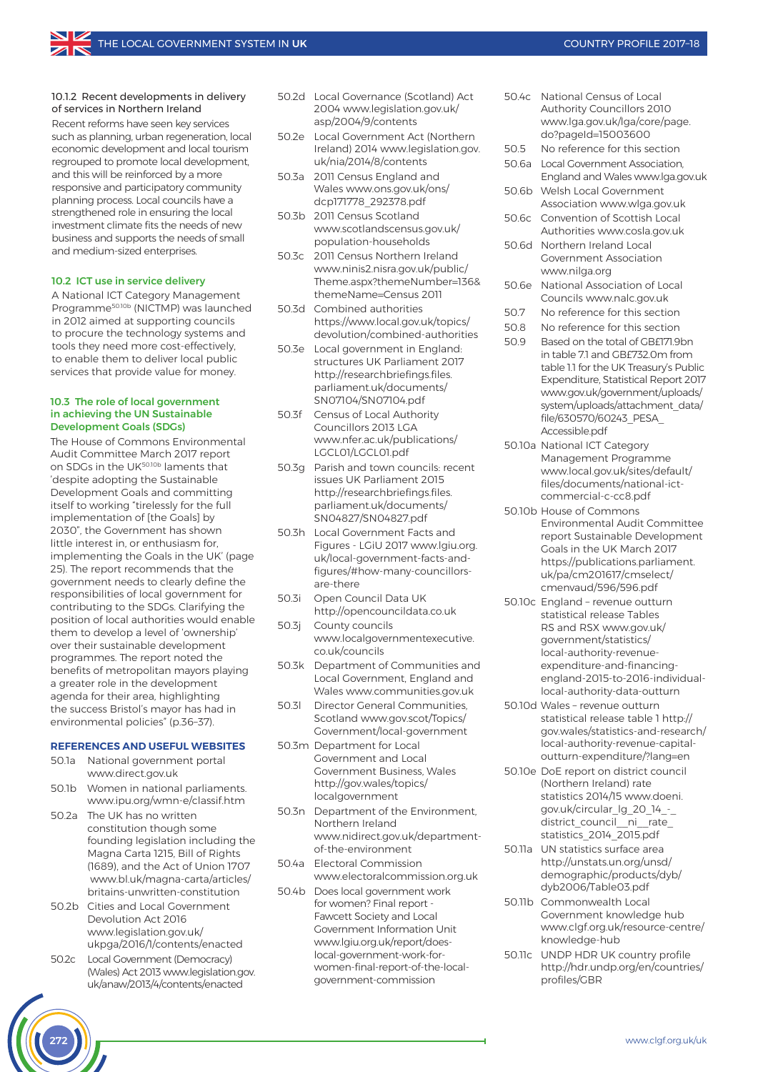#### 10.1.2 Recent developments in delivery of services in Northern Ireland

Recent reforms have seen key services such as planning, urban regeneration, local economic development and local tourism regrouped to promote local development, and this will be reinforced by a more responsive and participatory community planning process. Local councils have a strengthened role in ensuring the local investment climate fits the needs of new business and supports the needs of small and medium-sized enterprises.

#### 10.2 ICT use in service delivery

A National ICT Category Management Programme50.10b (NICTMP) was launched in 2012 aimed at supporting councils to procure the technology systems and tools they need more cost-effectively, to enable them to deliver local public services that provide value for money.

#### 10.3 The role of local government in achieving the UN Sustainable Development Goals (SDGs)

The House of Commons Environmental Audit Committee March 2017 report on SDGs in the UK50.10b laments that 'despite adopting the Sustainable Development Goals and committing itself to working "tirelessly for the full implementation of [the Goals] by 2030", the Government has shown little interest in, or enthusiasm for, implementing the Goals in the UK' (page 25). The report recommends that the government needs to clearly define the responsibilities of local government for contributing to the SDGs. Clarifying the position of local authorities would enable them to develop a level of 'ownership' over their sustainable development programmes. The report noted the benefits of metropolitan mayors playing a greater role in the development agenda for their area, highlighting the success Bristol's mayor has had in environmental policies" (p.36–37).

#### **REFERENCES AND USEFUL WEBSITES**

- 50.1a National government portal www.direct.gov.uk
- 50.1b Women in national parliaments. www.ipu.org/wmn-e/classif.htm
- 50.2a The UK has no written constitution though some founding legislation including the Magna Carta 1215, Bill of Rights (1689), and the Act of Union 1707 www.bl.uk/magna-carta/articles/ britains-unwritten-constitution
- 50.2b Cities and Local Government Devolution Act 2016 www.legislation.gov.uk/ ukpga/2016/1/contents/enacted
- 50.2c Local Government (Democracy) (Wales) Act 2013 www.legislation.gov. uk/anaw/2013/4/contents/enacted
- 50.2d Local Governance (Scotland) Act 2004 www.legislation.gov.uk/ asp/2004/9/contents
- 50.2e Local Government Act (Northern Ireland) 2014 www.legislation.gov. uk/nia/2014/8/contents
- 50.3a 2011 Census England and Wales www.ons.gov.uk/ons/ dcp171778\_292378.pdf
- 50.3b 2011 Census Scotland www.scotlandscensus.gov.uk/ population-households
- 50.3c 2011 Census Northern Ireland www.ninis2.nisra.gov.uk/public/ Theme.aspx?themeNumber=136& themeName=Census 2011
- 50.3d Combined authorities https://www.local.gov.uk/topics/ devolution/combined-authorities
- 50.3e Local government in England: structures UK Parliament 2017 http://researchbriefings.files. parliament.uk/documents/ SN07104/SN07104.pdf
- 50.3f Census of Local Authority Councillors 2013 LGA www.nfer.ac.uk/publications/ LGCL01/LGCL01.pdf
- 50.3g Parish and town councils: recent issues UK Parliament 2015 http://researchbriefings.files. parliament.uk/documents/ SN04827/SN04827.pdf
- 50.3h Local Government Facts and Figures - LGiU 2017 www.lgiu.org. uk/local-government-facts-andfigures/#how-many-councillorsare-there
- 50.3i Open Council Data UK http://opencouncildata.co.uk
- 50.3j County councils www.localgovernmentexecutive. co.uk/councils
- 50.3k Department of Communities and Local Government, England and Wales www.communities.gov.uk
- 50.3l Director General Communities, Scotland www.gov.scot/Topics/ Government/local-government
- 50.3m Department for Local Government and Local Government Business, Wales http://gov.wales/topics/ localgovernment
- 50.3n Department of the Environment, Northern Ireland www.nidirect.gov.uk/departmentof-the-environment
- 50.4a Electoral Commission www.electoralcommission.org.uk
- 50.4b Does local government work for women? Final report - Fawcett Society and Local Government Information Unit www.lgiu.org.uk/report/doeslocal-government-work-forwomen-final-report-of-the-localgovernment-commission
- 50.4c National Census of Local Authority Councillors 2010 www.lga.gov.uk/lga/core/page. do?pageId=15003600
- 50.5 No reference for this section
- 50.6a Local Government Association, England and Wales www.lga.gov.uk 50.6b Welsh Local Government
- Association www.wlga.gov.uk 50.6c Convention of Scottish Local
- Authorities www.cosla.gov.uk 50.6d Northern Ireland Local
- Government Association www.nilga.org
- 50.6e National Association of Local Councils www.nalc.gov.uk
- 50.7 No reference for this section
- 50.8 No reference for this section
- 50.9 Based on the total of GB£171.9bn in table 7.1 and GB£732.0m from table 1.1 for the UK Treasury's Public Expenditure, Statistical Report 2017 www.gov.uk/government/uploads/ system/uploads/attachment\_data/ file/630570/60243\_PESA\_ Accessible.pdf
- 50.10a National ICT Category Management Programme www.local.gov.uk/sites/default/ files/documents/national-ictcommercial-c-cc8.pdf
- 50.10b House of Commons Environmental Audit Committee report Sustainable Development Goals in the UK March 2017 https://publications.parliament. uk/pa/cm201617/cmselect/ cmenvaud/596/596.pdf
- 50.10c England revenue outturn statistical release Tables RS and RSX www.gov.uk/ government/statistics/ local-authority-revenueexpenditure-and-financingengland-2015-to-2016-individuallocal-authority-data-outturn
- 50.10d Wales revenue outturn statistical release table 1 http:// gov.wales/statistics-and-research/ local-authority-revenue-capitaloutturn-expenditure/?lang=en
- 50.10e DoE report on district council (Northern Ireland) rate statistics 2014/15 www.doeni. gov.uk/circular\_lg\_20\_14\_-\_ district\_council\_\_ni\_\_rate\_ statistics\_2014\_2015.pdf
- 50.11a UN statistics surface area http://unstats.un.org/unsd/ demographic/products/dyb/ dyb2006/Table03.pdf
- 50.11b Commonwealth Local Government knowledge hub www.clgf.org.uk/resource-centre/ knowledge-hub
- 50.11c UNDP HDR UK country profile http://hdr.undp.org/en/countries/ profiles/GBR